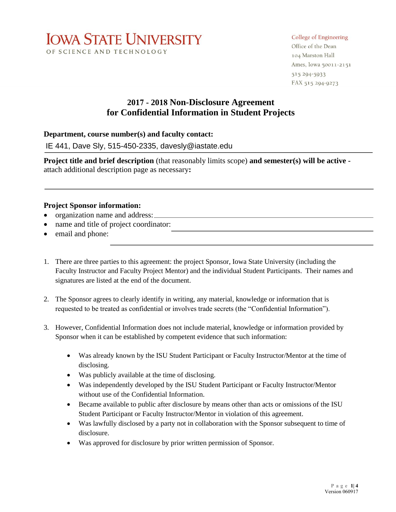

#### College of Engineering

Office of the Dean 104 Marston Hall Ames, Iowa 50011-2151 515 294-5933 FAX 515 294-9273

# **2017 - 2018 Non-Disclosure Agreement for Confidential Information in Student Projects**

#### **Department, course number(s) and faculty contact:**

IE 441, Dave Sly, 515-450-2335, davesly@iastate.edu

**Project title and brief description** (that reasonably limits scope) **and semester(s) will be active**  attach additional description page as necessary**:** 

#### **Project Sponsor information:**

- organization name and address:
- name and title of project coordinator:
- email and phone:
- 1. There are three parties to this agreement: the project Sponsor, Iowa State University (including the Faculty Instructor and Faculty Project Mentor) and the individual Student Participants. Their names and signatures are listed at the end of the document.
- 2. The Sponsor agrees to clearly identify in writing, any material, knowledge or information that is requested to be treated as confidential or involves trade secrets (the "Confidential Information").
- 3. However, Confidential Information does not include material, knowledge or information provided by Sponsor when it can be established by competent evidence that such information:
	- Was already known by the ISU Student Participant or Faculty Instructor/Mentor at the time of disclosing.
	- Was publicly available at the time of disclosing.
	- Was independently developed by the ISU Student Participant or Faculty Instructor/Mentor without use of the Confidential Information.
	- Became available to public after disclosure by means other than acts or omissions of the ISU Student Participant or Faculty Instructor/Mentor in violation of this agreement.
	- Was lawfully disclosed by a party not in collaboration with the Sponsor subsequent to time of disclosure.
	- Was approved for disclosure by prior written permission of Sponsor.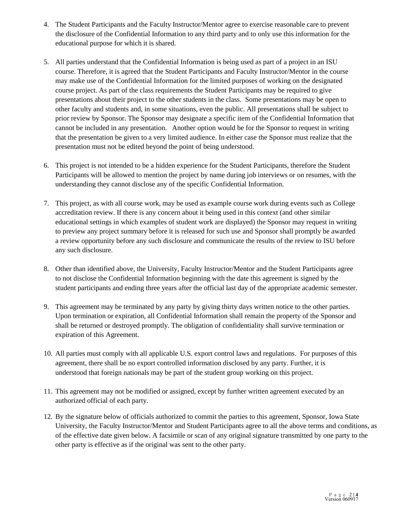- 4. The Student Participants and the Faculty Instructor/Mentor agree to exercise reasonable care to prevent the disclosure of the Confidential Information to any third party and to only use this information for the educational purpose for which it is shared.
- 5. All parties understand that the Confidential Information is being used as part of a project in an ISU course. Therefore, it is agreed that the Student Participants and Faculty Instructor/Mentor in the course may make use of the Confidential Information for the limited purposes of working on the designated course project. As part of the class requirements the Student Participants may be required to give presentations about their project to the other students in the class. Some presentations may be open to other faculty and students and, in some situations, even the public. All presentations shall be subject to prior review by Sponsor. The Sponsor may designate a specific item of the Confidential Information that cannot be included in any presentation. Another option would be for the Sponsor to request in writing that the presentation be given to a very limited audience. In either case the Sponsor must realize that the presentation must not be edited beyond the point of being understood.
- 6. This project is not intended to be a hidden experience for the Student Participants, therefore the Student Participants will be allowed to mention the project by name during job interviews or on resumes, with the understanding they cannot disclose any of the specific Confidential Information.
- 7. This project, as with all course work, may be used as example course work during events such as College accreditation review. If there is any concern about it being used in this context (and other similar educational settings in which examples of student work are displayed) the Sponsor may request in writing to preview any project summary before it is released for such use and Sponsor shall promptly be awarded a review opportunity before any such disclosure and communicate the results of the review to ISU before any such disclosure.
- 8. Other than identified above, the University, Faculty Instructor/Mentor and the Student Participants agree to not disclose the Confidential Information beginning with the date this agreement is signed by the student participants and ending three years after the official last day of the appropriate academic semester.
- 9. This agreement may be terminated by any party by giving thirty days written notice to the other parties. Upon termination or expiration, all Confidential Information shall remain the property of the Sponsor and shall be returned or destroyed promptly. The obligation of confidentiality shall survive termination or expiration of this Agreement.
- 10. All parties must comply with all applicable U.S. export control laws and regulations. For purposes of this agreement, there shall be no export controlled information disclosed by any party. Further, it is understood that foreign nationals may be part of the student group working on this project.
- 11. This agreement may not be modified or assigned, except by further written agreement executed by an authorized official of each party.
- 12. By the signature below of officials authorized to commit the parties to this agreement, Sponsor, Iowa State University, the Faculty Instructor/Mentor and Student Participants agree to all the above terms and conditions, as of the effective date given below. A facsimile or scan of any original signature transmitted by one party to the other party is effective as if the original was sent to the other party.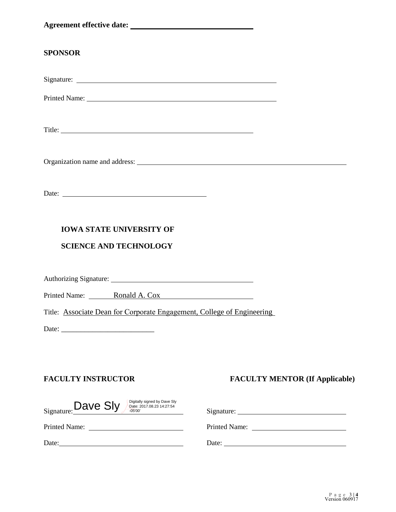### **SPONSOR**

Signature:

Printed Name: Name: Name: Name: Name: Name: Name: Name: Name: Name: Name: Name: Name: Name: Name: Name: Name: Name: Name: Name: Name: Name: Name: Name: Name: Name: Name: Name: Name: Name: Name: Name: Name: Name: Name: Name

Title:

Organization name and address:

Date:

## **IOWA STATE UNIVERSITY OF**

## **SCIENCE AND TECHNOLOGY**

Authorizing Signature: 1986. The Contractor of the Contractor of the Contractor of the Contractor of the Contractor of the Contractor of the Contractor of the Contractor of the Contractor of the Contractor of the Contracto

Printed Name: Ronald A. Cox

Title: Associate Dean for Corporate Engagement, College of Engineering

Date: \_\_\_\_\_\_\_\_\_\_\_\_\_\_\_\_\_\_\_\_\_\_\_\_

## **FACULTY INSTRUCTOR FACULTY MENTOR (If Applicable)**

| Digitally signed by Dave Sly<br>Signature: Dave Sly<br>Date: 2017.08.23 14:27:54<br>$-05'00'$ | Signature: $\overline{\phantom{a}}$ |
|-----------------------------------------------------------------------------------------------|-------------------------------------|
| <b>Printed Name:</b>                                                                          | Printed Name:                       |
| Date:                                                                                         | Date:                               |